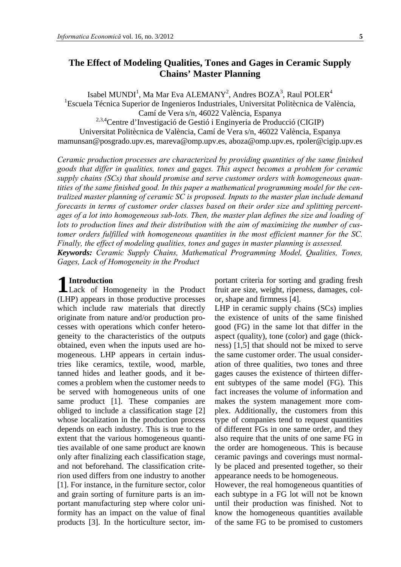# **The Effect of Modeling Qualities, Tones and Gages in Ceramic Supply Chains' Master Planning**

Isabel MUNDI $^{\rm l}$ , Ma Mar Eva ALEMANY $^{\rm 2}$ , Andres BOZA $^{\rm 3}$ , Raul POLER $^{\rm 4}$ <sup>1</sup>Escuela Técnica Superior de Ingenieros Industriales, Universitat Politècnica de València, Camí de Vera s/n, 46022 València, Espanya

 $^{2,3,4}$ Centre d'Investigació de Gestió i Enginyeria de Producció (CIGIP)

Universitat Politècnica de València, Camí de Vera s/n, 46022 València, Espanya mamunsan@posgrado.upv.es, mareva@omp.upv.es, aboza@omp.upv.es, rpoler@cigip.upv.es

*Ceramic production processes are characterized by providing quantities of the same finished goods that differ in qualities, tones and gages. This aspect becomes a problem for ceramic supply chains (SCs) that should promise and serve customer orders with homogeneous quantities of the same finished good. In this paper a mathematical programming model for the centralized master planning of ceramic SC is proposed. Inputs to the master plan include demand forecasts in terms of customer order classes based on their order size and splitting percentages of a lot into homogeneous sub-lots. Then, the master plan defines the size and loading of lots to production lines and their distribution with the aim of maximizing the number of customer orders fulfilled with homogeneous quantities in the most efficient manner for the SC. Finally, the effect of modeling qualities, tones and gages in master planning is assessed. Keywords: Ceramic Supply Chains, Mathematical Programming Model, Qualities, Tones, Gages, Lack of Homogeneity in the Product* 

## **Introduction**

**1** Introduction<br>Lack of Homogeneity in the Product (LHP) appears in those productive processes which include raw materials that directly originate from nature and/or production processes with operations which confer heterogeneity to the characteristics of the outputs obtained, even when the inputs used are homogeneous. LHP appears in certain industries like ceramics, textile, wood, marble, tanned hides and leather goods, and it becomes a problem when the customer needs to be served with homogeneous units of one same product [1]. These companies are obliged to include a classification stage [2] whose localization in the production process depends on each industry. This is true to the extent that the various homogeneous quantities available of one same product are known only after finalizing each classification stage, and not beforehand. The classification criterion used differs from one industry to another [1]. For instance, in the furniture sector, color and grain sorting of furniture parts is an important manufacturing step where color uniformity has an impact on the value of final products [3]. In the horticulture sector, im-

portant criteria for sorting and grading fresh fruit are size, weight, ripeness, damages, color, shape and firmness [4].

LHP in ceramic supply chains (SCs) implies the existence of units of the same finished good (FG) in the same lot that differ in the aspect (quality), tone (color) and gage (thickness) [1,5] that should not be mixed to serve the same customer order. The usual consideration of three qualities, two tones and three gages causes the existence of thirteen different subtypes of the same model (FG). This fact increases the volume of information and makes the system management more complex. Additionally, the customers from this type of companies tend to request quantities of different FGs in one same order, and they also require that the units of one same FG in the order are homogeneous. This is because ceramic pavings and coverings must normally be placed and presented together, so their appearance needs to be homogeneous.

However, the real homogeneous quantities of each subtype in a FG lot will not be known until their production was finished. Not to know the homogeneous quantities available of the same FG to be promised to customers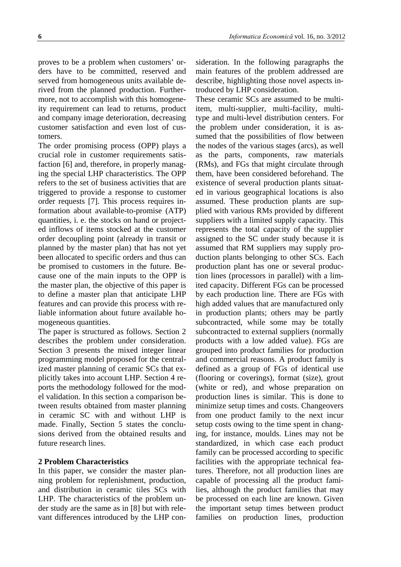proves to be a problem when customers' orders have to be committed, reserved and served from homogeneous units available derived from the planned production. Furthermore, not to accomplish with this homogeneity requirement can lead to returns, product and company image deterioration, decreasing customer satisfaction and even lost of customers.

The order promising process (OPP) plays a crucial role in customer requirements satisfaction [6] and, therefore, in properly managing the special LHP characteristics. The OPP refers to the set of business activities that are triggered to provide a response to customer order requests [7]. This process requires information about available-to-promise (ATP) quantities, i. e. the stocks on hand or projected inflows of items stocked at the customer order decoupling point (already in transit or planned by the master plan) that has not yet been allocated to specific orders and thus can be promised to customers in the future. Because one of the main inputs to the OPP is the master plan, the objective of this paper is to define a master plan that anticipate LHP features and can provide this process with reliable information about future available homogeneous quantities.

The paper is structured as follows. Section 2 describes the problem under consideration. Section 3 presents the mixed integer linear programming model proposed for the centralized master planning of ceramic SCs that explicitly takes into account LHP. Section 4 reports the methodology followed for the model validation. In this section a comparison between results obtained from master planning in ceramic SC with and without LHP is made. Finally, Section 5 states the conclusions derived from the obtained results and future research lines.

### **2 Problem Characteristics**

In this paper, we consider the master planning problem for replenishment, production, and distribution in ceramic tiles SCs with LHP. The characteristics of the problem under study are the same as in [8] but with relevant differences introduced by the LHP con-

sideration. In the following paragraphs the main features of the problem addressed are describe, highlighting those novel aspects introduced by LHP consideration.

These ceramic SCs are assumed to be multiitem, multi-supplier, multi-facility, multitype and multi-level distribution centers. For the problem under consideration, it is assumed that the possibilities of flow between the nodes of the various stages (arcs), as well as the parts, components, raw materials (RMs), and FGs that might circulate through them, have been considered beforehand. The existence of several production plants situated in various geographical locations is also assumed. These production plants are supplied with various RMs provided by different suppliers with a limited supply capacity. This represents the total capacity of the supplier assigned to the SC under study because it is assumed that RM suppliers may supply production plants belonging to other SCs. Each production plant has one or several production lines (processors in parallel) with a limited capacity. Different FGs can be processed by each production line. There are FGs with high added values that are manufactured only in production plants; others may be partly subcontracted, while some may be totally subcontracted to external suppliers (normally products with a low added value). FGs are grouped into product families for production and commercial reasons. A product family is defined as a group of FGs of identical use (flooring or coverings), format (size), grout (white or red), and whose preparation on production lines is similar. This is done to minimize setup times and costs. Changeovers from one product family to the next incur setup costs owing to the time spent in changing, for instance, moulds. Lines may not be standardized, in which case each product family can be processed according to specific facilities with the appropriate technical features. Therefore, not all production lines are capable of processing all the product families, although the product families that may be processed on each line are known. Given the important setup times between product families on production lines, production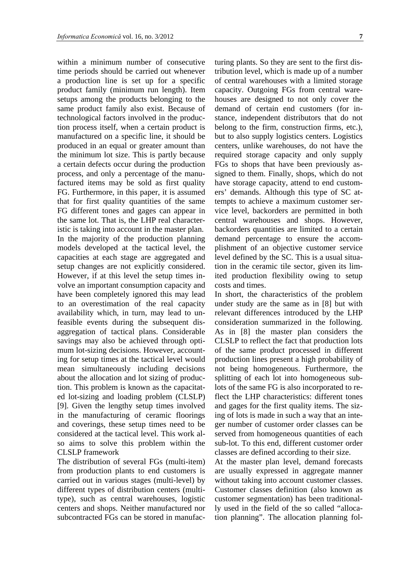within a minimum number of consecutive time periods should be carried out whenever a production line is set up for a specific product family (minimum run length). Item setups among the products belonging to the same product family also exist. Because of technological factors involved in the production process itself, when a certain product is manufactured on a specific line, it should be produced in an equal or greater amount than the minimum lot size. This is partly because a certain defects occur during the production process, and only a percentage of the manufactured items may be sold as first quality FG. Furthermore, in this paper, it is assumed that for first quality quantities of the same FG different tones and gages can appear in the same lot. That is, the LHP real characteristic is taking into account in the master plan. In the majority of the production planning models developed at the tactical level, the capacities at each stage are aggregated and setup changes are not explicitly considered. However, if at this level the setup times involve an important consumption capacity and have been completely ignored this may lead to an overestimation of the real capacity availability which, in turn, may lead to unfeasible events during the subsequent disaggregation of tactical plans. Considerable savings may also be achieved through optimum lot-sizing decisions. However, accounting for setup times at the tactical level would mean simultaneously including decisions about the allocation and lot sizing of production. This problem is known as the capacitated lot-sizing and loading problem (CLSLP) [9]. Given the lengthy setup times involved in the manufacturing of ceramic floorings and coverings, these setup times need to be considered at the tactical level. This work also aims to solve this problem within the CLSLP framework

The distribution of several FGs (multi-item) from production plants to end customers is carried out in various stages (multi-level) by different types of distribution centers (multitype), such as central warehouses, logistic centers and shops. Neither manufactured nor subcontracted FGs can be stored in manufacturing plants. So they are sent to the first distribution level, which is made up of a number of central warehouses with a limited storage capacity. Outgoing FGs from central warehouses are designed to not only cover the demand of certain end customers (for instance, independent distributors that do not belong to the firm, construction firms, etc.), but to also supply logistics centers. Logistics centers, unlike warehouses, do not have the required storage capacity and only supply FGs to shops that have been previously assigned to them. Finally, shops, which do not have storage capacity, attend to end customers' demands. Although this type of SC attempts to achieve a maximum customer service level, backorders are permitted in both central warehouses and shops. However, backorders quantities are limited to a certain demand percentage to ensure the accomplishment of an objective customer service level defined by the SC. This is a usual situation in the ceramic tile sector, given its limited production flexibility owing to setup costs and times.

In short, the characteristics of the problem under study are the same as in [8] but with relevant differences introduced by the LHP consideration summarized in the following. As in [8] the master plan considers the CLSLP to reflect the fact that production lots of the same product processed in different production lines present a high probability of not being homogeneous. Furthermore, the splitting of each lot into homogeneous sublots of the same FG is also incorporated to reflect the LHP characteristics: different tones and gages for the first quality items. The sizing of lots is made in such a way that an integer number of customer order classes can be served from homogeneous quantities of each sub-lot. To this end, different customer order classes are defined according to their size.

At the master plan level, demand forecasts are usually expressed in aggregate manner without taking into account customer classes. Customer classes definition (also known as customer segmentation) has been traditionally used in the field of the so called "allocation planning". The allocation planning fol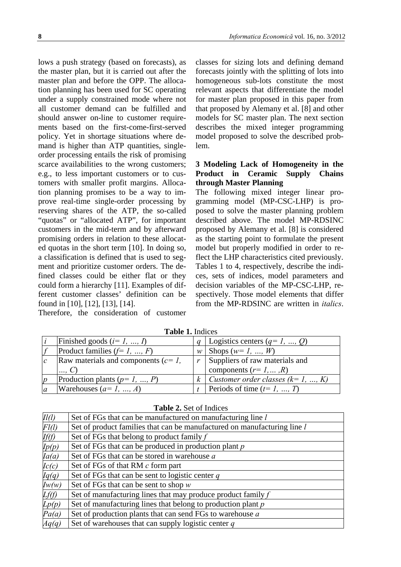lows a push strategy (based on forecasts), as the master plan, but it is carried out after the master plan and before the OPP. The allocation planning has been used for SC operating under a supply constrained mode where not all customer demand can be fulfilled and should answer on-line to customer requirements based on the first-come-first-served policy. Yet in shortage situations where demand is higher than ATP quantities, singleorder processing entails the risk of promising scarce availabilities to the wrong customers; e.g., to less important customers or to customers with smaller profit margins. Allocation planning promises to be a way to improve real-time single-order processing by reserving shares of the ATP, the so-called "quotas" or "allocated ATP", for important customers in the mid-term and by afterward promising orders in relation to these allocated quotas in the short term [10]. In doing so, a classification is defined that is used to segment and prioritize customer orders. The defined classes could be either flat or they could form a hierarchy [11]. Examples of different customer classes' definition can be found in [10], [12], [13], [14].

Therefore, the consideration of customer

classes for sizing lots and defining demand forecasts jointly with the splitting of lots into homogeneous sub-lots constitute the most relevant aspects that differentiate the model for master plan proposed in this paper from that proposed by Alemany et al. [8] and other models for SC master plan. The next section describes the mixed integer programming model proposed to solve the described problem.

### **3 Modeling Lack of Homogeneity in the Product in Ceramic Supply Chains through Master Planning**

The following mixed integer linear programming model (MP-CSC-LHP) is proposed to solve the master planning problem described above. The model MP-RDSINC proposed by Alemany et al. [8] is considered as the starting point to formulate the present model but properly modified in order to reflect the LHP characteristics cited previously. Tables 1 to 4, respectively, describe the indices, sets of indices, model parameters and decision variables of the MP-CSC-LHP, respectively. Those model elements that differ from the MP-RDSINC are written in *italics*.

| Finished goods $(i=1, , I)$              | $\alpha$     | Logistics centers $(q=1, , Q)$                |  |  |
|------------------------------------------|--------------|-----------------------------------------------|--|--|
| Product families $(f=1, , F)$            |              | <i>w</i>   Shops ( <i>w</i> = 1, , <i>W</i> ) |  |  |
| Raw materials and components ( $c = 1$ , | $\mathbf{r}$ | Suppliers of raw materials and                |  |  |
| $\ldots$ , $C$                           |              | components $(r=1,,R)$                         |  |  |
| Production plants $(p=1, , P)$           |              | k   Customer order classes (k= 1, , K)        |  |  |
| Warehouses $(a=1, , A)$                  |              | Periods of time $(t=1, , T)$                  |  |  |

**Table 1.** Indices

| $I\ell(l)$ | Set of FGs that can be manufactured on manufacturing line l              |
|------------|--------------------------------------------------------------------------|
| Fl(l)      | Set of product families that can be manufactured on manufacturing line l |
| If(f)      | Set of FGs that belong to product family $f$                             |
| Ip(p)      | Set of FGs that can be produced in production plant $p$                  |
| Ia(a)      | Set of FGs that can be stored in warehouse a                             |
| Ic(c)      | Set of FGs of that RM c form part                                        |
| Iq(q)      | Set of FGs that can be sent to logistic center $q$                       |
| Iw(w)      | Set of FGs that can be sent to shop $w$                                  |
| Lf(f)      | Set of manufacturing lines that may produce product family $f$           |
| Lp(p)      | Set of manufacturing lines that belong to production plant $p$           |
| Pa(a)      | Set of production plants that can send FGs to warehouse a                |
| Aq(q)      | Set of warehouses that can supply logistic center $q$                    |

**Table 2.** Set of Indices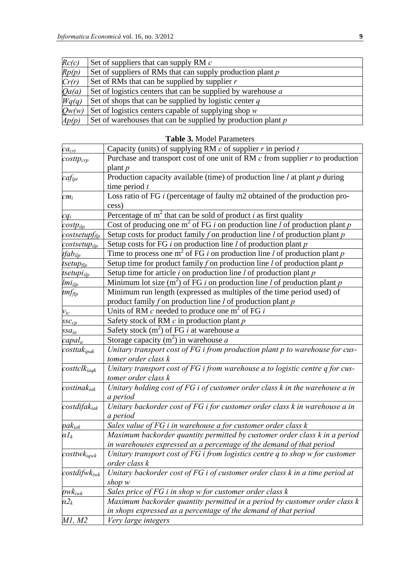| Rc(c) | Set of suppliers that can supply RM c                          |
|-------|----------------------------------------------------------------|
| Rp(p) | Set of suppliers of RMs that can supply production plant $p$   |
| Cr(r) | Set of RMs that can be supplied by supplier $r$                |
| Qa(a) | Set of logistics centers that can be supplied by warehouse a   |
| Wq(q) | Set of shops that can be supplied by logistic center $q$       |
| Qw(w) | Set of logistics centers capable of supplying shop $w$         |
| Ap(p) | Set of warehouses that can be supplied by production plant $p$ |

| $ca_{crt}$                              | Capacity (units) of supplying RM $c$ of supplier $r$ in period $t$                               |  |  |
|-----------------------------------------|--------------------------------------------------------------------------------------------------|--|--|
| $costtp_{crp}$                          | Purchase and transport cost of one unit of RM $c$ from supplier $r$ to production                |  |  |
|                                         | plant $p$                                                                                        |  |  |
| $\it{cdf}_{lpt}$                        | Production capacity available (time) of production line $l$ at plant $p$ during                  |  |  |
|                                         | time period $t$                                                                                  |  |  |
| $cm_i$                                  | Loss ratio of FG <i>i</i> (percentage of faulty m2 obtained of the production pro-               |  |  |
|                                         | cess)                                                                                            |  |  |
| $cq_i$                                  | Percentage of $m2$ that can be sold of product <i>i</i> as first quality                         |  |  |
| $costp_{ilp}$                           | Cost of producing one $m^2$ of FG i on production line l of production plant p                   |  |  |
| $cost setup f_{flp}$                    | Setup costs for product family f on production line $l$ of production plant $p$                  |  |  |
| cost setup <sub>ilp</sub>               | Setup costs for FG $i$ on production line $l$ of production plant $p$                            |  |  |
| tfa $b_{ilp}$                           | Time to process one $m^2$ of FG i on production line l of production plant p                     |  |  |
| tsetu $p_{flp}$                         | Setup time for product family f on production line $l$ of production plant $p$                   |  |  |
| tsetupi <sub>ilp</sub>                  | Setup time for article $i$ on production line $l$ of production plant $p$                        |  |  |
| lmi $_{ilp}$                            | Minimum lot size $(m^2)$ of FG <i>i</i> on production line <i>l</i> of production plant <i>p</i> |  |  |
| tm $f_{\!\scriptstyle\mathit{f\!f\!p}}$ | Minimum run length (expressed as multiples of the time period used) of                           |  |  |
|                                         | product family f on production line $l$ of production plant $p$                                  |  |  |
| $v_{ic}$                                | Units of RM c needed to produce one $m2$ of FG i                                                 |  |  |
| $SSC_{CP}$                              | Safety stock of RM $c$ in production plant $p$                                                   |  |  |
| $ssa_{ia}$                              | Safety stock $(m2)$ of FG <i>i</i> at warehouse <i>a</i>                                         |  |  |
| $capal_a$                               | Storage capacity $(m^2)$ in warehouse a                                                          |  |  |
| cost tak <sub>ipak</sub>                | Unitary transport cost of FG i from production plant p to warehouse for cus-                     |  |  |
|                                         | tomer order class k                                                                              |  |  |
| $costtclk_{iagk}$                       | Unitary transport cost of FG i from warehouse a to logistic centre q for cus-                    |  |  |
|                                         | tomer order class k                                                                              |  |  |
| $costinak_{iak}$                        | Unitary holding cost of FG i of customer order class k in the warehouse a in                     |  |  |
|                                         | a period                                                                                         |  |  |
| costdifak <sub>iak</sub>                | Unitary backorder cost of FG i for customer order class k in warehouse a in                      |  |  |
|                                         | a period                                                                                         |  |  |
| $p$ a $k_{i\alpha k}$                   | Sales value of $FG$ i in warehouse a for customer order class $k$                                |  |  |
| $\alpha I_k$                            | Maximum backorder quantity permitted by customer order class k in a period                       |  |  |
|                                         | in warehouses expressed as a percentage of the demand of that period                             |  |  |
| $costtwk_{igwk}$                        | Unitary transport cost of FG i from logistics centre $q$ to shop w for customer                  |  |  |
|                                         | order class k                                                                                    |  |  |
| $costdiffwk_{iwk}$                      | Unitary backorder cost of FG i of customer order class k in a time period at                     |  |  |
|                                         | shop w                                                                                           |  |  |
| $pwk_{iwk}$                             | Sales price of $FG$ i in shop w for customer order class $k$                                     |  |  |
| $a2_k$                                  | Maximum backorder quantity permitted in a period by customer order class k                       |  |  |
|                                         | in shops expressed as a percentage of the demand of that period                                  |  |  |
| M1, M2                                  | Very large integers                                                                              |  |  |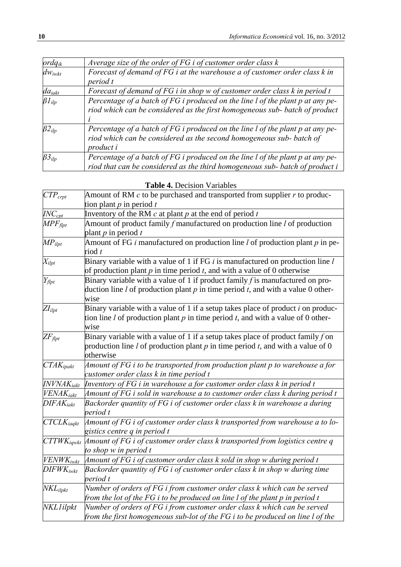| $ord q_{ik}$       | Average size of the order of $FG$ i of customer order class $k$                                                                                                     |
|--------------------|---------------------------------------------------------------------------------------------------------------------------------------------------------------------|
| $dw_{iwkt}$        | Forecast of demand of FG i at the warehouse a of customer order class k in<br>period t                                                                              |
| $da_{i\alpha k t}$ | Forecast of demand of FG i in shop w of customer order class k in period t                                                                                          |
| $\beta {I}_{ilp}$  | Percentage of a batch of FG i produced on the line l of the plant p at any pe-<br>riod which can be considered as the first homogeneous sub- batch of product       |
| $\beta2_{ilp}$     | Percentage of a batch of FG i produced on the line l of the plant p at any pe-<br>riod which can be considered as the second homogeneous sub- batch of<br>product i |
| $\beta3_{ilp}$     | Percentage of a batch of FG i produced on the line l of the plant p at any pe-<br>riod that can be considered as the third homogeneous sub- batch of product i      |

| $CTP_{crpt}$                  | Amount of RM $c$ to be purchased and transported from supplier $r$ to produc-                       |
|-------------------------------|-----------------------------------------------------------------------------------------------------|
|                               | tion plant $p$ in period $t$                                                                        |
| $INC_{cpt}$                   | Inventory of the RM $c$ at plant $p$ at the end of period $t$                                       |
| $MPF_{flpt}$                  | Amount of product family f manufactured on production line $l$ of production                        |
|                               | plant $p$ in period $t$                                                                             |
| $MP_{ilpt}$                   | Amount of FG $i$ manufactured on production line $l$ of production plant $p$ in pe-                 |
|                               | $\text{riod } t$                                                                                    |
| $X_{ilpt}$                    | Binary variable with a value of 1 if FG $i$ is manufactured on production line $l$                  |
|                               | of production plant $p$ in time period $t$ , and with a value of 0 otherwise                        |
| $Y_{\text{flpt}}$             | Binary variable with a value of 1 if product family $f$ is manufactured on pro-                     |
|                               | duction line <i>l</i> of production plant $p$ in time period $t$ , and with a value 0 other-        |
|                               | wise                                                                                                |
| $ZI_{ilpt}$                   | Binary variable with a value of 1 if a setup takes place of product $i$ on produc-                  |
|                               | tion line <i>l</i> of production plant $p$ in time period $t$ , and with a value of 0 other-        |
|                               | wise                                                                                                |
| $ZF_{flpt}$                   | Binary variable with a value of 1 if a setup takes place of product family f on                     |
|                               | production line $l$ of production plant $p$ in time period $t$ , and with a value of 0              |
|                               | otherwise                                                                                           |
| $CTAK_{ipakt}$                | Amount of FG i to be transported from production plant p to warehouse a for                         |
|                               | customer order class k in time period t                                                             |
| <b>INVNAK</b> <sub>iakt</sub> | Inventory of FG i in warehouse a for customer order class $k$ in period t                           |
| <b>VENAK</b> iakt             | Amount of FG i sold in warehouse a to customer order class k during period t                        |
| DIFAK <sub>iakt</sub>         | Backorder quantity of FG i of customer order class k in warehouse a during                          |
|                               | period t                                                                                            |
| $CTCLK_{iagkt}$               | Amount of FG i of customer order class k transported from warehouse a to lo-                        |
|                               | gistics centre q in period t                                                                        |
|                               | $CTTWK_{iqukt}$ <i>Amount of FG i of customer order class k transported from logistics centre q</i> |
|                               | to shop w in period t                                                                               |
| <b>VENWK</b> iwkt             | Amount of FG i of customer order class $k$ sold in shop w during period t                           |
| $DIFWK_{iwkt}$                | Backorder quantity of FG i of customer order class $k$ in shop w during time                        |
|                               | period t                                                                                            |
| $N\!K\!L_{ilpkt}$             | Number of orders of FG i from customer order class k which can be served                            |
|                               | from the lot of the FG i to be produced on line l of the plant p in period t                        |
| <b>NKL1ilpkt</b>              | Number of orders of FG i from customer order class k which can be served                            |
|                               | from the first homogeneous sub-lot of the FG i to be produced on line l of the                      |

# **Table 4.** Decision Variables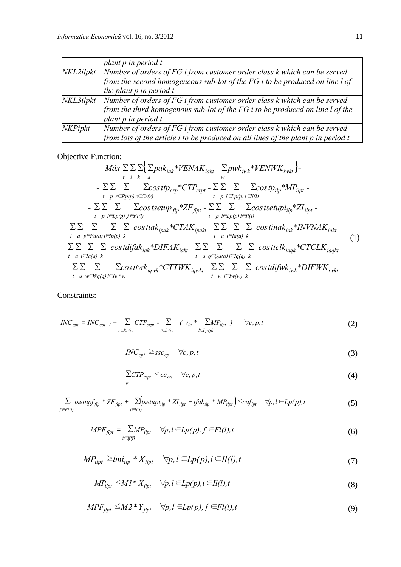|                | plant p in period t                                                                     |
|----------------|-----------------------------------------------------------------------------------------|
| NKL2ilpkt      | Number of orders of FG i from customer order class k which can be served                |
|                | from the second homogeneous sub-lot of the $FG$ i to be produced on line $l$ of         |
|                | the plant $p$ in period $t$                                                             |
| NKL3ilpkt      | Number of orders of FG i from customer order class k which can be served                |
|                | from the third homogenous sub-lot of the $FG$ i to be produced on line l of the         |
|                | plant p in period t                                                                     |
| <b>NKPipkt</b> | Number of orders of FG i from customer order class k which can be served                |
|                | from lots of the article $i$ to be produced on all lines of the plant $p$ in period $t$ |

Objective Function:

*Máx pak \*VENAK + pwk \*VENWK -* ∑∑∑ ∑ ∑ { } *iak iakt iwk iwkt tik w a* ∑∑ ∑ ∑ ∑∑ ∑ ∑ *- costtp \*CTP - costp \*MP crp crpt ilp ilpt t p Rp(p) r Cr(r) c* ∈ ∈ ∈ ∈ *t p Lp(p) l Il(l) i* ∑∑ ∑ ∑ ∑∑ ∑ ∑ *- costsetup \*ZF - costsetupi \*ZI flp flpt ilp ilpt* ∈ ∈ ∈ ∈ *t p Lp(p) l Fl(l) f t p Lp(p) l Il(l) i* ∑∑ ∑ ∑ ∑ ∑∑ ∑ ∑ *- costtak \*CTAK - costinak \*INVNAK ipak ipakt iak iakt t k a Pa(a) p Ip(p) i* ∈ ∈ ∈ *k t a Ia(a) i* (1) ∑∑ ∑ ∑ ∑∑ ∑ ∑ ∑ *- costdifak \*DIFAK - costtclk \*CTCLK iak iakt iaqk iaqkt t k a Ia(a) i* ∈ ∈ ∈ *k t a Qa(a) q Iq(q) i* ∑∑ ∑ ∑ ∑∑ ∑ ∑ *- costtwk \*CTTWK - costdifwk \*DIFWK iqwk iqwkt iwk iwkt t k q Wq(q) w Iw(w) i* ∈ ∈ ∈ *t w Iw(w) i*

Constraints:

$$
INC_{cpt} = INC_{cpt} + \sum_{r \in Rec(c)} CTP_{cpt} - \sum_{i \in L(c)} (\nu_{ic} * \sum_{l \in L(p)} MP_{ilpt}) \qquad \forall c, p, t
$$
 (2)

$$
INC_{cpt} \geq ssc_{cp} \quad \forall c, p, t
$$
 (3)

$$
\sum_{p} CTP_{cpt} \leq ca_{cpt} \quad \forall c, p, t
$$
 (4)

 $t$ *setupf*<sub> $f_{n}$ </sub>  $*$  *ZF*<sub> $f_{n}$ </sub>  $+$   $\sum$   $t$ *setupi*<sub>iln</sub>  $*$  *ZI*<sub>*i*lnt</sub>  $*$  *MP*<sub>ilnt</sub> $\sum$   $\sum$   $caf$ <sub>*lnt*</sub>  $\forall p, l \in Lp(p), t$ *f* ∈Fl(l) *i* = *i*(l)  $\sum_{i \in I(l)} tsetupf_{dp} * ZF_{fpt} + \sum_{i \in I(l)} (tsetupi_{ilp} * ZI_{ilpt} + tfab_{ilp} * MP_{ilpt}) \leq caf_{ipt} \quad \forall p, l \in Lp(p), t$  (5)

$$
MPF_{flpt} = \sum_{i \in lff)} MP_{ilpt} \quad \forall p, l \in Lp(p), f \in Fl(l), t \tag{6}
$$

$$
MP_{ilpt} \geq lmi_{ilp} * X_{ilpt} \quad \forall p, l \in Lp(p), i \in Il(l), t \tag{7}
$$

$$
MP_{ilpt} \leq MI * X_{ilpt} \quad \forall p, l \in Lp(p), i \in H(l), t \tag{8}
$$

$$
MPF_{fipt} \le M2*Y_{fipt} \quad \forall p, l \in Lp(p), f \in Fl(l), t \tag{9}
$$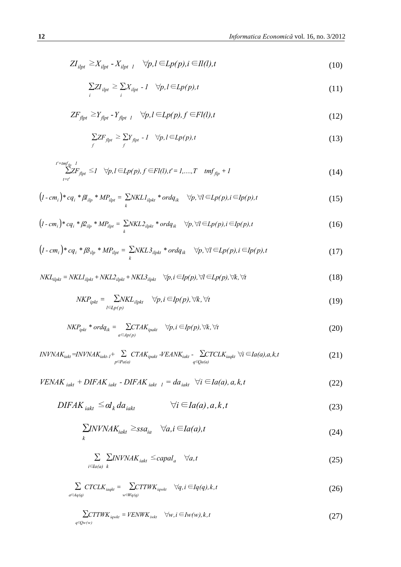$$
ZI_{ilpt} \geq X_{ilpt} - X_{ilpt} \quad \forall p, l \in Lp(p), i \in H(l), t \tag{10}
$$

$$
\sum_{i} Z I_{ilpt} \ge \sum_{i} X_{ilpt} - I \quad \forall p, l \in Lp(p), t \tag{11}
$$

$$
ZF_{flpt} \geq Y_{flpt} - Y_{flpt} \quad \forall p, l \in Lp(p), f \in Fl(l), t \tag{12}
$$

$$
\sum_{f} ZF_{f lpt} \geq \sum_{f} Y_{f lpt} - I \quad \forall p, l \in Lp(p), t \tag{13}
$$

$$
\sum_{t=t'}^{t'+tmf_{flp}}\sum_{l=t'}^{I} f_{ppl} \leq I \quad \forall p,l \in Lp(p), f \in Fl(l), t'=1,...,T \quad tmf_{flp} + I \tag{14}
$$

$$
(I - cmi) * cqi * \beta Iilp * MPilpt = \sum_{k} NKL Iilpkt * ord qik \quad \forall p, \forall l \in Lp(p), i \in Ip(p), t
$$
 (15)

$$
(1 - cmi) * cqi * β2ilp * MPilpt = \sum_{k} NKL2ilpt * ordqik \quad \forall p, \forall l \in Lp(p), i \in Ip(p), t
$$
 (16)

$$
(1 - cmi) * cqi * βilp * MPilpt = \sum_{k} NKL3ilpt * ordqik \quad \forall p, \forall l \in Lp(p), i \in Ip(p), t
$$
 (17)

$$
NKL_{ilpkt} = NKL_{ilpkt} + NKL2_{ilpkt} + NKL3_{ilpkt} \quad \forall p, i \in Ip(p), \forall l \in Lp(p), \forall k, \forall t
$$
\n(18)

$$
NKP_{ipkt} = \sum_{l \in L_p(p)} NKL_{ilpkt} \quad \forall p, i \in I_p(p), \forall k, \forall t
$$
\n(19)

$$
NKP_{ipkt} * ordq_{ik} = \sum_{a \in Ap(p)} CTAK_{ipakt} \quad \forall p, i \in Ip(p), \forall k, \forall t
$$
 (20)

$$
INVNAK_{iakt} = INVNAK_{iakt-1} + \sum_{p \in Pa(a)} CTAK_{ipakt} - VEANK_{iakt} - \sum_{q \in Qa(a)} CTCLK_{iagkt} \quad \forall i \in Ia(a), a, k, t
$$
 (21)

$$
VENAK_{iakt} + DIFAK_{iakt} - DIFAK_{iakt} \quad l = da_{iakt} \quad \forall i \in Ia(a), a, k, t \tag{22}
$$

$$
DIFAK_{iakt} \leq al_k da_{iakt} \qquad \qquad \forall i \in Ia(a), a, k, t \tag{23}
$$

$$
\sum_{k} \text{INVNAK}_{i\text{akt}} \geq ssa_{ia} \quad \forall a, i \in \text{Ia}(a), t \tag{24}
$$

$$
\sum_{i \in I_{a(a)}} \sum_{k} \text{INVNAK}_{i\text{akt}} \leq \text{capal}_a \quad \forall a, t \tag{25}
$$

$$
\sum_{a \in 4q(q)} CTCLK_{iagkt} = \sum_{w \in Wq(q)} CTTWK_{iqwkt} \quad \forall q, i \in Iq(q), k, t \tag{26}
$$

$$
\sum_{q \in Q_{W(w)}} \sum_{i q w k t} T T W K_{i q w k t} = V E N W K_{i w k t} \quad \forall w, i \in I w(w), k, t
$$
\n
$$
(27)
$$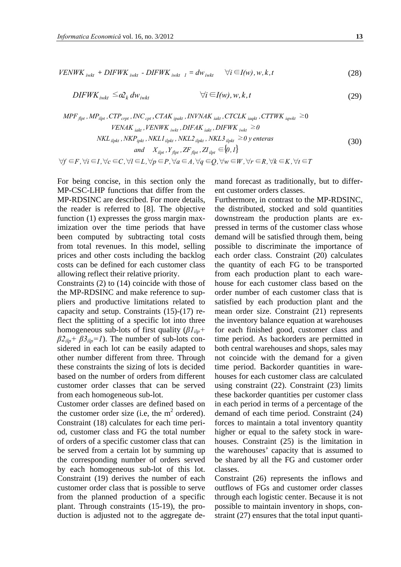$$
VENWK_{iwkt} + DIFFWK_{iwkt} - DIFFWK_{iwkt} \quad \forall i \in I(w), w, k, t
$$
\n(28)

$$
DIFWK_{iwht} \leq a \lambda_k dw_{iwht} \qquad \qquad \forall i \in I(w), w, k, t \tag{29}
$$

$$
MPF_{flpt}, MP_{ilpt}, CTP_{crpt}, INC_{cpt}, CTAK_{ipakt}, INVMAK_{iakt}, CTCLK_{iagkt}, CTTWK_{iqwkt} \ge 0
$$
  
\n
$$
VENAK_{iakt}, VENWK_{iwkt}, DIFAK_{iakt}, DIFWK_{iwtt} \ge 0
$$
  
\n
$$
NKL_{ilpkt}, NKP_{ipkt}, NKL1_{ilpkt}, NKL2_{ilpkt}, NKL3_{ilpkt} \ge 0 \text{ y enters}
$$
  
\nand  $X_{ilpt}, Y_{flpt}, ZF_{jpt}, ZI_{ilpt} \in [0, 1]$   
\n
$$
\forall f \in F, \forall i \in I, \forall c \in C, \forall l \in L, \forall p \in P, \forall a \in A, \forall q \in Q, \forall w \in W, \forall r \in R, \forall k \in K, \forall t \in T
$$
\n(30)

For being concise, in this section only the MP-CSC-LHP functions that differ from the MP-RDSINC are described. For more details, the reader is referred to [8]. The objective function (1) expresses the gross margin maximization over the time periods that have been computed by subtracting total costs from total revenues. In this model, selling prices and other costs including the backlog costs can be defined for each customer class allowing reflect their relative priority.

Constraints (2) to (14) coincide with those of the MP-RDSINC and make reference to suppliers and productive limitations related to capacity and setup. Constraints (15)-(17) reflect the splitting of a specific lot into three homogeneous sub-lots of first quality  $(\beta I_{i} + \beta I_{i})$  $\beta_2^2$ <sub>*ilp*</sub>  $\beta_3^2$ <sub>*ilp*</sub> = *l*). The number of sub-lots considered in each lot can be easily adapted to other number different from three. Through these constraints the sizing of lots is decided based on the number of orders from different customer order classes that can be served from each homogeneous sub-lot.

Customer order classes are defined based on the customer order size (i.e, the  $m<sup>2</sup>$  ordered). Constraint (18) calculates for each time period, customer class and FG the total number of orders of a specific customer class that can be served from a certain lot by summing up the corresponding number of orders served by each homogeneous sub-lot of this lot. Constraint (19) derives the number of each customer order class that is possible to serve from the planned production of a specific plant. Through constraints (15-19), the production is adjusted not to the aggregate demand forecast as traditionally, but to different customer orders classes.

Furthermore, in contrast to the MP-RDSINC, the distributed, stocked and sold quantities downstream the production plants are expressed in terms of the customer class whose demand will be satisfied through them, being possible to discriminate the importance of each order class. Constraint (20) calculates the quantity of each FG to be transported from each production plant to each warehouse for each customer class based on the order number of each customer class that is satisfied by each production plant and the mean order size. Constraint (21) represents the inventory balance equation at warehouses for each finished good, customer class and time period. As backorders are permitted in both central warehouses and shops, sales may not coincide with the demand for a given time period. Backorder quantities in warehouses for each customer class are calculated using constraint (22). Constraint (23) limits these backorder quantities per customer class in each period in terms of a percentage of the demand of each time period. Constraint (24) forces to maintain a total inventory quantity higher or equal to the safety stock in warehouses. Constraint (25) is the limitation in the warehouses' capacity that is assumed to be shared by all the FG and customer order classes.

Constraint (26) represents the inflows and outflows of FGs and customer order classes through each logistic center. Because it is not possible to maintain inventory in shops, constraint (27) ensures that the total input quanti-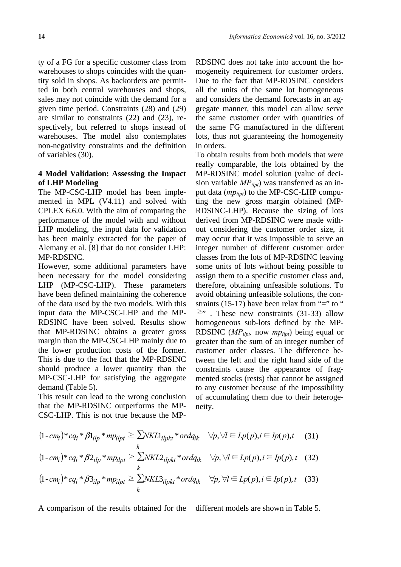ty of a FG for a specific customer class from warehouses to shops coincides with the quantity sold in shops. As backorders are permitted in both central warehouses and shops, sales may not coincide with the demand for a given time period. Constraints (28) and (29) are similar to constraints (22) and (23), respectively, but referred to shops instead of warehouses. The model also contemplates non-negativity constraints and the definition of variables (30).

## **4 Model Validation: Assessing the Impact of LHP Modeling**

The MP-CSC-LHP model has been implemented in MPL (V4.11) and solved with CPLEX 6.6.0. With the aim of comparing the performance of the model with and without LHP modeling, the input data for validation has been mainly extracted for the paper of Alemany et al. [8] that do not consider LHP: MP-RDSINC.

However, some additional parameters have been necessary for the model considering LHP (MP-CSC-LHP). These parameters have been defined maintaining the coherence of the data used by the two models. With this input data the MP-CSC-LHP and the MP-RDSINC have been solved. Results show that MP-RDSINC obtains a greater gross margin than the MP-CSC-LHP mainly due to the lower production costs of the former. This is due to the fact that the MP-RDSINC should produce a lower quantity than the MP-CSC-LHP for satisfying the aggregate demand (Table 5).

This result can lead to the wrong conclusion that the MP-RDSINC outperforms the MP-CSC-LHP. This is not true because the MP-

RDSINC does not take into account the homogeneity requirement for customer orders. Due to the fact that MP-RDSINC considers all the units of the same lot homogeneous and considers the demand forecasts in an aggregate manner, this model can allow serve the same customer order with quantities of the same FG manufactured in the different lots, thus not guaranteeing the homogeneity in orders.

To obtain results from both models that were really comparable, the lots obtained by the MP-RDSINC model solution (value of decision variable *MPilpt*) was transferred as an input data (*mp*<sub>ilpt</sub>) to the MP-CSC-LHP computing the new gross margin obtained (MP-RDSINC-LHP). Because the sizing of lots derived from MP-RDSINC were made without considering the customer order size, it may occur that it was impossible to serve an integer number of different customer order classes from the lots of MP-RDSINC leaving some units of lots without being possible to assign them to a specific customer class and, therefore, obtaining unfeasible solutions. To avoid obtaining unfeasible solutions, the constraints (15-17) have been relax from "=" to "  $\geq$ ". These new constraints (31-33) allow homogeneous sub-lots defined by the MP-RDSINC (*MPilpt,* now *mpilpt*) being equal or greater than the sum of an integer number of customer order classes. The difference between the left and the right hand side of the constraints cause the appearance of fragmented stocks (rests) that cannot be assigned to any customer because of the impossibility of accumulating them due to their heterogeneity.

$$
(1 - cm_i)^* c q_i * \beta 1_{ilp} * mp_{ilpt} \ge \sum NKL1_{ilpkt} * ord q_{ik} \quad \forall p, \forall l \in Lp(p), i \in Ip(p), t \quad (31)
$$
\n
$$
(1 - cm_i)^* c q_i * \beta 2_{ilp} * mp_{ilpt} \ge \sum NKL2_{ilpkt} * ord q_{ik} \quad \forall p, \forall l \in Lp(p), i \in Ip(p), t \quad (32)
$$
\n
$$
(1 - cm_i)^* c q_i * \beta 3_{ilp} * mp_{ilpt} \ge \sum NKL3_{ilpkt} * ord q_{ik} \quad \forall p, \forall l \in Lp(p), i \in Ip(p), t \quad (33)
$$

A comparison of the results obtained for the different models are shown in Table 5.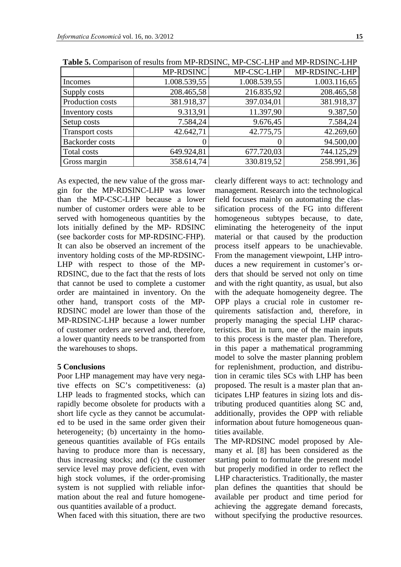|                        | MP-RDSINC    | MP-CSC-LHP   | MP-RDSINC-LHP |
|------------------------|--------------|--------------|---------------|
| Incomes                | 1.008.539,55 | 1.008.539,55 | 1.003.116,65  |
| Supply costs           | 208.465,58   | 216.835,92   | 208.465,58    |
| Production costs       | 381.918,37   | 397.034,01   | 381.918,37    |
| Inventory costs        | 9.313,91     | 11.397,90    | 9.387,50      |
| Setup costs            | 7.584,24     | 9.676,45     | 7.584,24      |
| <b>Transport costs</b> | 42.642,71    | 42.775,75    | 42.269,60     |
| <b>Backorder</b> costs |              |              | 94.500,00     |
| Total costs            | 649.924,81   | 677.720,03   | 744.125,29    |
| Gross margin           | 358.614,74   | 330.819,52   | 258.991,36    |

**Table 5.** Comparison of results from MP-RDSINC, MP-CSC-LHP and MP-RDSINC-LHP

As expected, the new value of the gross margin for the MP-RDSINC-LHP was lower than the MP-CSC-LHP because a lower number of customer orders were able to be served with homogeneous quantities by the lots initially defined by the MP- RDSINC (see backorder costs for MP-RDSINC-FHP). It can also be observed an increment of the inventory holding costs of the MP-RDSINC-LHP with respect to those of the MP-RDSINC, due to the fact that the rests of lots that cannot be used to complete a customer order are maintained in inventory. On the other hand, transport costs of the MP-RDSINC model are lower than those of the MP-RDSINC-LHP because a lower number of customer orders are served and, therefore, a lower quantity needs to be transported from the warehouses to shops.

### **5 Conclusions**

Poor LHP management may have very negative effects on SC's competitiveness: (a) LHP leads to fragmented stocks, which can rapidly become obsolete for products with a short life cycle as they cannot be accumulated to be used in the same order given their heterogeneity; (b) uncertainty in the homogeneous quantities available of FGs entails having to produce more than is necessary, thus increasing stocks; and (c) the customer service level may prove deficient, even with high stock volumes, if the order-promising system is not supplied with reliable information about the real and future homogeneous quantities available of a product.

When faced with this situation, there are two

clearly different ways to act: technology and management. Research into the technological field focuses mainly on automating the classification process of the FG into different homogeneous subtypes because, to date, eliminating the heterogeneity of the input material or that caused by the production process itself appears to be unachievable. From the management viewpoint, LHP introduces a new requirement in customer's orders that should be served not only on time and with the right quantity, as usual, but also with the adequate homogeneity degree. The OPP plays a crucial role in customer requirements satisfaction and, therefore, in properly managing the special LHP characteristics. But in turn, one of the main inputs to this process is the master plan. Therefore, in this paper a mathematical programming model to solve the master planning problem for replenishment, production, and distribution in ceramic tiles SCs with LHP has been proposed. The result is a master plan that anticipates LHP features in sizing lots and distributing produced quantities along SC and, additionally, provides the OPP with reliable information about future homogeneous quantities available.

The MP-RDSINC model proposed by Alemany et al. [8] has been considered as the starting point to formulate the present model but properly modified in order to reflect the LHP characteristics. Traditionally, the master plan defines the quantities that should be available per product and time period for achieving the aggregate demand forecasts, without specifying the productive resources.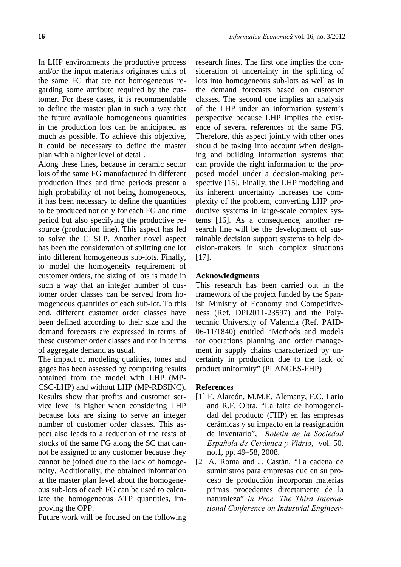In LHP environments the productive process and/or the input materials originates units of the same FG that are not homogeneous regarding some attribute required by the customer. For these cases, it is recommendable to define the master plan in such a way that the future available homogeneous quantities in the production lots can be anticipated as much as possible. To achieve this objective, it could be necessary to define the master plan with a higher level of detail.

Along these lines, because in ceramic sector lots of the same FG manufactured in different production lines and time periods present a high probability of not being homogeneous, it has been necessary to define the quantities to be produced not only for each FG and time period but also specifying the productive resource (production line). This aspect has led to solve the CLSLP. Another novel aspect has been the consideration of splitting one lot into different homogeneous sub-lots. Finally, to model the homogeneity requirement of customer orders, the sizing of lots is made in such a way that an integer number of customer order classes can be served from homogeneous quantities of each sub-lot. To this end, different customer order classes have been defined according to their size and the demand forecasts are expressed in terms of these customer order classes and not in terms of aggregate demand as usual.

The impact of modeling qualities, tones and gages has been assessed by comparing results obtained from the model with LHP (MP-CSC-LHP) and without LHP (MP-RDSINC). Results show that profits and customer service level is higher when considering LHP because lots are sizing to serve an integer number of customer order classes. This aspect also leads to a reduction of the rests of stocks of the same FG along the SC that cannot be assigned to any customer because they cannot be joined due to the lack of homogeneity. Additionally, the obtained information at the master plan level about the homogeneous sub-lots of each FG can be used to calculate the homogeneous ATP quantities, improving the OPP.

Future work will be focused on the following

research lines. The first one implies the consideration of uncertainty in the splitting of lots into homogeneous sub-lots as well as in the demand forecasts based on customer classes. The second one implies an analysis of the LHP under an information system's perspective because LHP implies the existence of several references of the same FG. Therefore, this aspect jointly with other ones should be taking into account when designing and building information systems that can provide the right information to the proposed model under a decision-making perspective [15]. Finally, the LHP modeling and its inherent uncertainty increases the complexity of the problem, converting LHP productive systems in large-scale complex systems [16]. As a consequence, another research line will be the development of sustainable decision support systems to help decision-makers in such complex situations [17].

### **Acknowledgments**

This research has been carried out in the framework of the project funded by the Spanish Ministry of Economy and Competitiveness (Ref. DPI2011-23597) and the Polytechnic University of Valencia (Ref. PAID-06-11/1840) entitled "Methods and models for operations planning and order management in supply chains characterized by uncertainty in production due to the lack of product uniformity" (PLANGES-FHP)

#### **References**

- [1] F. Alarcón, M.M.E. Alemany, F.C. Lario and R.F. Oltra, "La falta de homogeneidad del producto (FHP) en las empresas cerámicas y su impacto en la reasignación de inventario", *Boletín de la Sociedad Española de Cerámica y Vidrio*, vol. 50, no.1, pp. 49–58, 2008.
- [2] A. Roma and J. Castán, "La cadena de suministros para empresas que en su proceso de producción incorporan materias primas procedentes directamente de la naturaleza" *in Proc. The Third International Conference on Industrial Engineer-*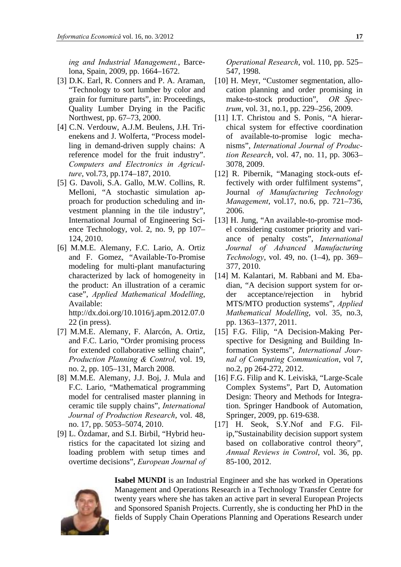*ing and Industrial Management.*, Barcelona, Spain, 2009, pp. 1664–1672.

- [3] D.K. Earl, R. Conners and P. A. Araman, "Technology to sort lumber by color and grain for furniture parts", in: Proceedings, Quality Lumber Drying in the Pacific Northwest, pp. 67–73, 2000.
- [4] C.N. Verdouw, A.J.M. Beulens, J.H. Trienekens and J. Wolferta, "Process modelling in demand-driven supply chains: A reference model for the fruit industry". *Computers and Electronics in Agriculture*, vol.73, pp.174–187, 2010.
- [5] G. Davoli, S.A. Gallo, M.W. Collins, R. Melloni, "A stochastic simulation approach for production scheduling and investment planning in the tile industry", International Journal of Engineering Science Technology, vol. 2, no. 9, pp 107– 124, 2010.
- [6] M.M.E. Alemany, F.C. Lario, A. Ortiz and F. Gomez, "Available-To-Promise modeling for multi-plant manufacturing characterized by lack of homogeneity in the product: An illustration of a ceramic case", *Applied Mathematical Modelling*, Available:

http://dx.doi.org/10.1016/j.apm.2012.07.0 22 (in press).

- [7] M.M.E. Alemany, F. Alarcón, A. Ortiz, and F.C. Lario, "Order promising process for extended collaborative selling chain", *Production Planning & Control,* vol. 19, no. 2, pp. 105–131, March 2008.
- [8] M.M.E. Alemany, J.J. Boj, J. Mula and F.C. Lario, "Mathematical programming model for centralised master planning in ceramic tile supply chains", *International Journal of Production Research*, vol. 48, no. 17, pp. 5053–5074, 2010.
- [9] L. Özdamar, and S.I. Birbil, "Hybrid heuristics for the capacitated lot sizing and loading problem with setup times and overtime decisions", *European Journal of*

*Operational Research*, vol. 110, pp. 525– 547, 1998.

- [10] H. Meyr, "Customer segmentation, allocation planning and order promising in make-to-stock production", *OR Spectrum*, vol. 31, no.1, pp. 229–256, 2009.
- [11] I.T. Christou and S. Ponis, "A hierarchical system for effective coordination of available-to-promise logic mechanisms", *International Journal of Production Research*, vol. 47, no. 11, pp. 3063– 3078, 2009.
- [12] R. Pibernik, "Managing stock-outs effectively with order fulfilment systems", Journal *of Manufacturing Technology Management*, vol.17, no.6, pp. 721–736, 2006.
- [13] H. Jung, "An available-to-promise model considering customer priority and variance of penalty costs", *International Journal of Advanced Manufacturing Technology*, vol. 49, no. (1–4), pp. 369– 377, 2010.
- [14] M. Kalantari, M. Rabbani and M. Ebadian, "A decision support system for order acceptance/rejection in hybrid MTS/MTO production systems", *Applied Mathematical Modelling*, vol. 35, no.3, pp. 1363–1377, 2011.
- [15] F.G. Filip, "A Decision-Making Perspective for Designing and Building Information Systems", *International Journal of Computing Communication*, vol 7, no.2, pp 264-272, 2012.
- [16] F.G. Filip and K. Leiviskä, "Large-Scale Complex Systems", Part D, Automation Design: Theory and Methods for Integration. Springer Handbook of Automation, Springer, 2009, pp. 619-638.
- [17] H. Seok, S.Y.Nof and F.G. Filip,"Sustainability decision support system based on collaborative control theory", *Annual Reviews in Control*, vol. 36, pp. 85-100, 2012.



**Isabel MUNDI** is an Industrial Engineer and she has worked in Operations Management and Operations Research in a Technology Transfer Centre for twenty years where she has taken an active part in several European Projects and Sponsored Spanish Projects. Currently, she is conducting her PhD in the fields of Supply Chain Operations Planning and Operations Research under